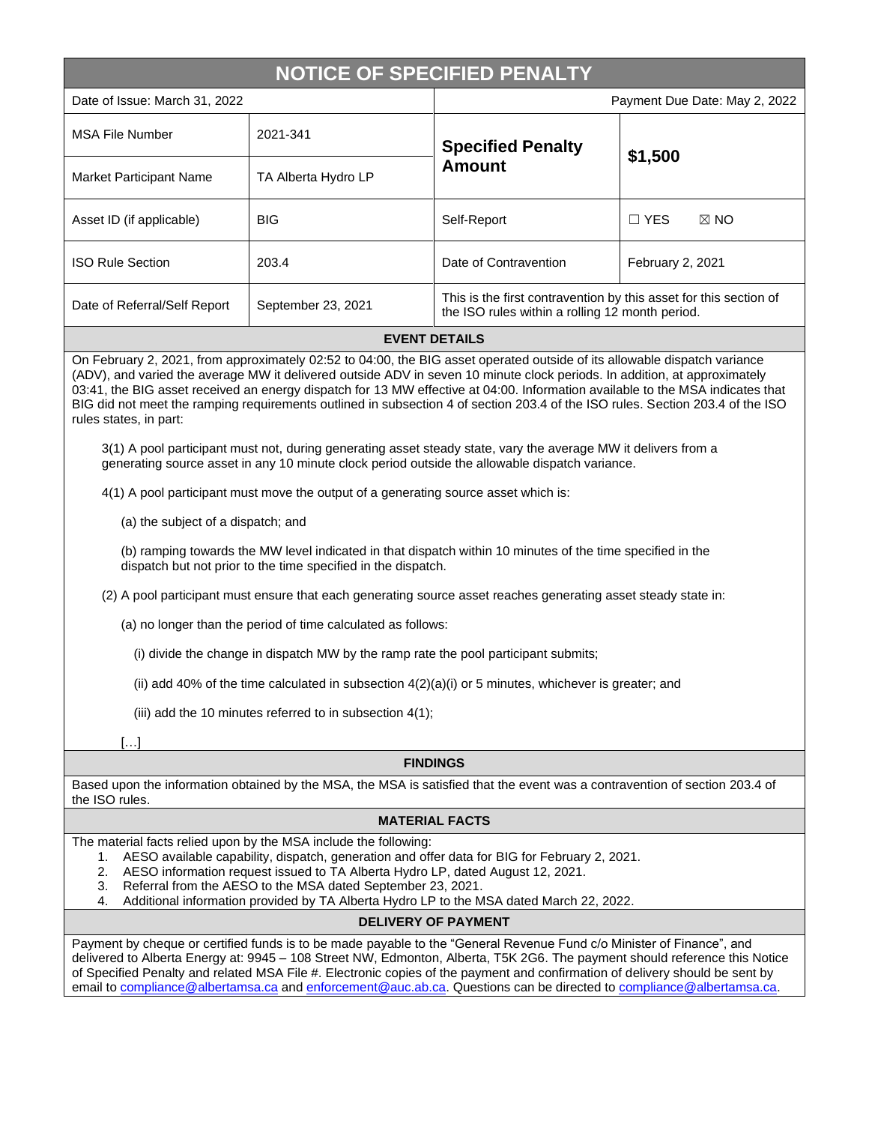# **NOTICE OF SPECIFIED PENALTY**

| Date of Issue: March 31, 2022  |                     | Payment Due Date: May 2, 2022                                                                                        |                              |
|--------------------------------|---------------------|----------------------------------------------------------------------------------------------------------------------|------------------------------|
| <b>MSA File Number</b>         | 2021-341            | <b>Specified Penalty</b><br><b>Amount</b>                                                                            | \$1,500                      |
| <b>Market Participant Name</b> | TA Alberta Hydro LP |                                                                                                                      |                              |
| Asset ID (if applicable)       | <b>BIG</b>          | Self-Report                                                                                                          | $\Box$ YES<br>$\boxtimes$ NO |
| <b>ISO Rule Section</b>        | 203.4               | Date of Contravention                                                                                                | February 2, 2021             |
| Date of Referral/Self Report   | September 23, 2021  | This is the first contravention by this asset for this section of<br>the ISO rules within a rolling 12 month period. |                              |

## **EVENT DETAILS**

On February 2, 2021, from approximately 02:52 to 04:00, the BIG asset operated outside of its allowable dispatch variance (ADV), and varied the average MW it delivered outside ADV in seven 10 minute clock periods. In addition, at approximately 03:41, the BIG asset received an energy dispatch for 13 MW effective at 04:00. Information available to the MSA indicates that BIG did not meet the ramping requirements outlined in subsection 4 of section 203.4 of the ISO rules. Section 203.4 of the ISO rules states, in part:

3(1) A pool participant must not, during generating asset steady state, vary the average MW it delivers from a generating source asset in any 10 minute clock period outside the allowable dispatch variance.

4(1) A pool participant must move the output of a generating source asset which is:

(a) the subject of a dispatch; and

(b) ramping towards the MW level indicated in that dispatch within 10 minutes of the time specified in the dispatch but not prior to the time specified in the dispatch.

(2) A pool participant must ensure that each generating source asset reaches generating asset steady state in:

(a) no longer than the period of time calculated as follows:

(i) divide the change in dispatch MW by the ramp rate the pool participant submits;

(ii) add 40% of the time calculated in subsection  $4(2)(a)(i)$  or 5 minutes, whichever is greater; and

(iii) add the 10 minutes referred to in subsection 4(1);

 $\lceil \dots \rceil$ 

#### **FINDINGS**

Based upon the information obtained by the MSA, the MSA is satisfied that the event was a contravention of section 203.4 of the ISO rules.

# **MATERIAL FACTS**

The material facts relied upon by the MSA include the following:

1. AESO available capability, dispatch, generation and offer data for BIG for February 2, 2021.

- 2. AESO information request issued to TA Alberta Hydro LP, dated August 12, 2021.
- 3. Referral from the AESO to the MSA dated September 23, 2021.
- 4. Additional information provided by TA Alberta Hydro LP to the MSA dated March 22, 2022.

## **DELIVERY OF PAYMENT**

Payment by cheque or certified funds is to be made payable to the "General Revenue Fund c/o Minister of Finance", and delivered to Alberta Energy at: 9945 – 108 Street NW, Edmonton, Alberta, T5K 2G6. The payment should reference this Notice of Specified Penalty and related MSA File #. Electronic copies of the payment and confirmation of delivery should be sent by email to [compliance@albertamsa.ca](mailto:compliance@albertamsa.ca) and [enforcement@auc.ab.ca.](mailto:enforcement@auc.ab.ca) Questions can be directed to [compliance@albertamsa.ca.](mailto:compliance@albertamsa.ca)